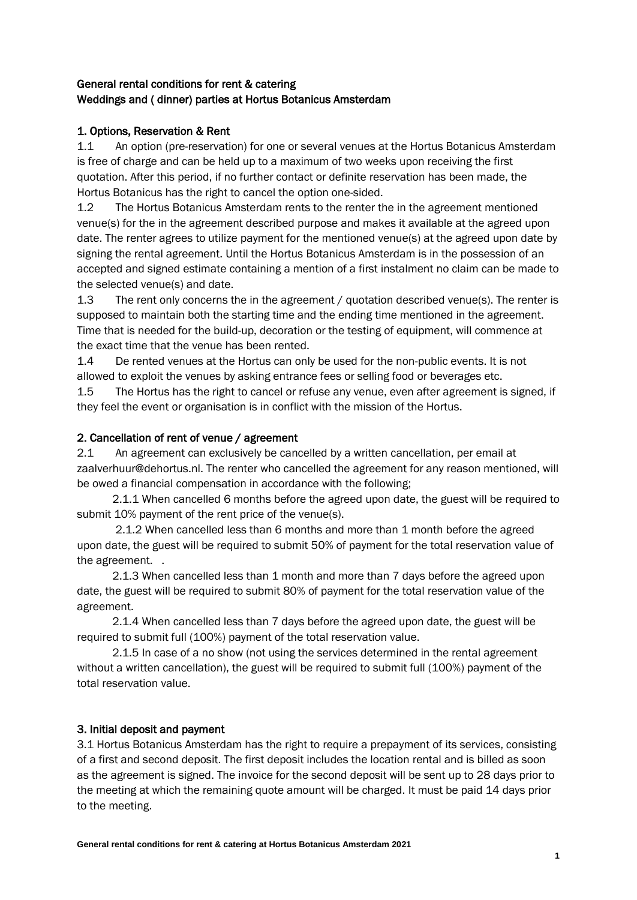#### General rental conditions for rent & catering Weddings and ( dinner) parties at Hortus Botanicus Amsterdam

#### 1. Options, Reservation & Rent

1.1 An option (pre-reservation) for one or several venues at the Hortus Botanicus Amsterdam is free of charge and can be held up to a maximum of two weeks upon receiving the first quotation. After this period, if no further contact or definite reservation has been made, the Hortus Botanicus has the right to cancel the option one-sided.

1.2 The Hortus Botanicus Amsterdam rents to the renter the in the agreement mentioned venue(s) for the in the agreement described purpose and makes it available at the agreed upon date. The renter agrees to utilize payment for the mentioned venue(s) at the agreed upon date by signing the rental agreement. Until the Hortus Botanicus Amsterdam is in the possession of an accepted and signed estimate containing a mention of a first instalment no claim can be made to the selected venue(s) and date.

1.3 The rent only concerns the in the agreement / quotation described venue(s). The renter is supposed to maintain both the starting time and the ending time mentioned in the agreement. Time that is needed for the build-up, decoration or the testing of equipment, will commence at the exact time that the venue has been rented.

1.4 De rented venues at the Hortus can only be used for the non-public events. It is not allowed to exploit the venues by asking entrance fees or selling food or beverages etc.

1.5 The Hortus has the right to cancel or refuse any venue, even after agreement is signed, if they feel the event or organisation is in conflict with the mission of the Hortus.

#### 2. Cancellation of rent of venue / agreement

2.1 An agreement can exclusively be cancelled by a written cancellation, per email at zaalverhuur@dehortus.nl. The renter who cancelled the agreement for any reason mentioned, will be owed a financial compensation in accordance with the following;

 2.1.1 When cancelled 6 months before the agreed upon date, the guest will be required to submit 10% payment of the rent price of the venue(s).

2.1.2 When cancelled less than 6 months and more than 1 month before the agreed upon date, the guest will be required to submit 50% of payment for the total reservation value of the agreement. .

 2.1.3 When cancelled less than 1 month and more than 7 days before the agreed upon date, the guest will be required to submit 80% of payment for the total reservation value of the agreement.

 2.1.4 When cancelled less than 7 days before the agreed upon date, the guest will be required to submit full (100%) payment of the total reservation value.

 2.1.5 In case of a no show (not using the services determined in the rental agreement without a written cancellation), the guest will be required to submit full (100%) payment of the total reservation value.

#### 3. Initial deposit and payment

3.1 Hortus Botanicus Amsterdam has the right to require a prepayment of its services, consisting of a first and second deposit. The first deposit includes the location rental and is billed as soon as the agreement is signed. The invoice for the second deposit will be sent up to 28 days prior to the meeting at which the remaining quote amount will be charged. It must be paid 14 days prior to the meeting.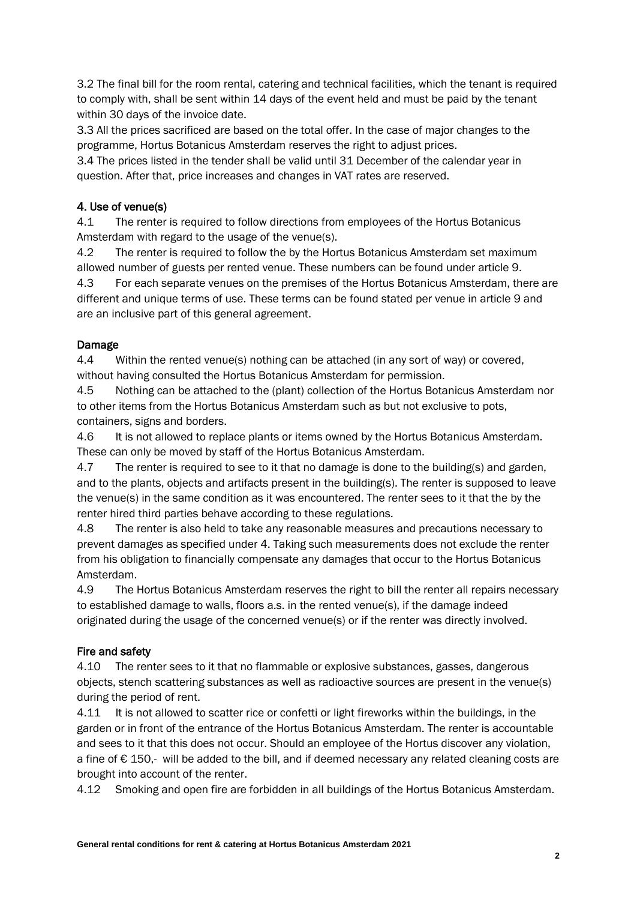3.2 The final bill for the room rental, catering and technical facilities, which the tenant is required to comply with, shall be sent within 14 days of the event held and must be paid by the tenant within 30 days of the invoice date.

3.3 All the prices sacrificed are based on the total offer. In the case of major changes to the programme, Hortus Botanicus Amsterdam reserves the right to adjust prices.

3.4 The prices listed in the tender shall be valid until 31 December of the calendar year in question. After that, price increases and changes in VAT rates are reserved.

## 4. Use of venue(s)

4.1 The renter is required to follow directions from employees of the Hortus Botanicus Amsterdam with regard to the usage of the venue(s).

4.2 The renter is required to follow the by the Hortus Botanicus Amsterdam set maximum allowed number of guests per rented venue. These numbers can be found under article 9.

4.3 For each separate venues on the premises of the Hortus Botanicus Amsterdam, there are different and unique terms of use. These terms can be found stated per venue in article 9 and are an inclusive part of this general agreement.

## Damage

4.4 Within the rented venue(s) nothing can be attached (in any sort of way) or covered, without having consulted the Hortus Botanicus Amsterdam for permission.

4.5 Nothing can be attached to the (plant) collection of the Hortus Botanicus Amsterdam nor to other items from the Hortus Botanicus Amsterdam such as but not exclusive to pots, containers, signs and borders.

4.6 It is not allowed to replace plants or items owned by the Hortus Botanicus Amsterdam. These can only be moved by staff of the Hortus Botanicus Amsterdam.

4.7 The renter is required to see to it that no damage is done to the building(s) and garden, and to the plants, objects and artifacts present in the building(s). The renter is supposed to leave the venue(s) in the same condition as it was encountered. The renter sees to it that the by the renter hired third parties behave according to these regulations.

4.8 The renter is also held to take any reasonable measures and precautions necessary to prevent damages as specified under 4. Taking such measurements does not exclude the renter from his obligation to financially compensate any damages that occur to the Hortus Botanicus Amsterdam.

4.9 The Hortus Botanicus Amsterdam reserves the right to bill the renter all repairs necessary to established damage to walls, floors a.s. in the rented venue(s), if the damage indeed originated during the usage of the concerned venue(s) or if the renter was directly involved.

## Fire and safety

4.10 The renter sees to it that no flammable or explosive substances, gasses, dangerous objects, stench scattering substances as well as radioactive sources are present in the venue(s) during the period of rent.

4.11 It is not allowed to scatter rice or confetti or light fireworks within the buildings, in the garden or in front of the entrance of the Hortus Botanicus Amsterdam. The renter is accountable and sees to it that this does not occur. Should an employee of the Hortus discover any violation, a fine of € 150,- will be added to the bill, and if deemed necessary any related cleaning costs are brought into account of the renter.

4.12 Smoking and open fire are forbidden in all buildings of the Hortus Botanicus Amsterdam.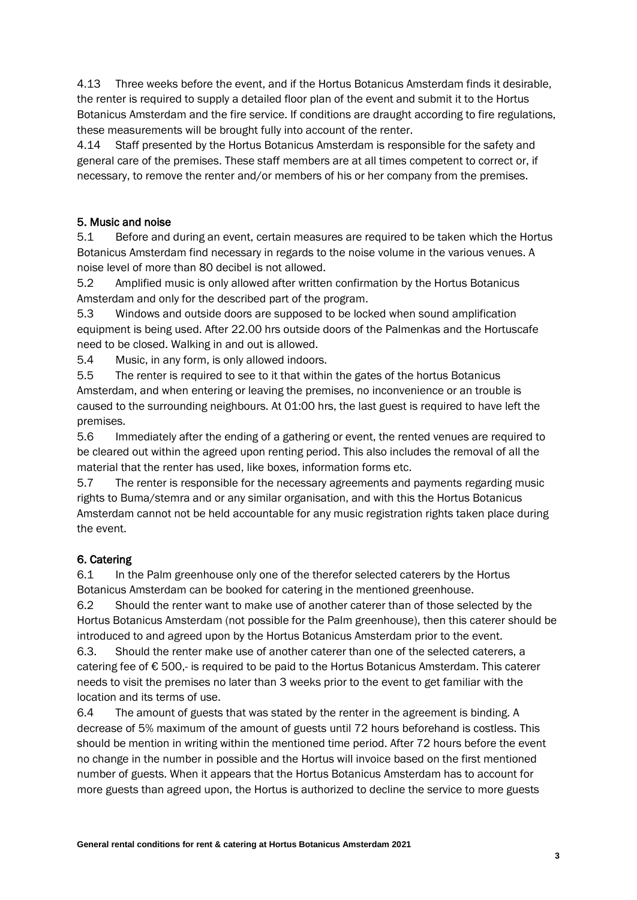4.13 Three weeks before the event, and if the Hortus Botanicus Amsterdam finds it desirable, the renter is required to supply a detailed floor plan of the event and submit it to the Hortus Botanicus Amsterdam and the fire service. If conditions are draught according to fire regulations, these measurements will be brought fully into account of the renter.

4.14 Staff presented by the Hortus Botanicus Amsterdam is responsible for the safety and general care of the premises. These staff members are at all times competent to correct or, if necessary, to remove the renter and/or members of his or her company from the premises.

#### 5. Music and noise

5.1 Before and during an event, certain measures are required to be taken which the Hortus Botanicus Amsterdam find necessary in regards to the noise volume in the various venues. A noise level of more than 80 decibel is not allowed.

5.2 Amplified music is only allowed after written confirmation by the Hortus Botanicus Amsterdam and only for the described part of the program.

5.3 Windows and outside doors are supposed to be locked when sound amplification equipment is being used. After 22.00 hrs outside doors of the Palmenkas and the Hortuscafe need to be closed. Walking in and out is allowed.

5.4 Music, in any form, is only allowed indoors.

5.5 The renter is required to see to it that within the gates of the hortus Botanicus Amsterdam, and when entering or leaving the premises, no inconvenience or an trouble is caused to the surrounding neighbours. At 01:00 hrs, the last guest is required to have left the premises.

5.6 Immediately after the ending of a gathering or event, the rented venues are required to be cleared out within the agreed upon renting period. This also includes the removal of all the material that the renter has used, like boxes, information forms etc.

5.7 The renter is responsible for the necessary agreements and payments regarding music rights to Buma/stemra and or any similar organisation, and with this the Hortus Botanicus Amsterdam cannot not be held accountable for any music registration rights taken place during the event.

## 6. Catering

6.1 In the Palm greenhouse only one of the therefor selected caterers by the Hortus Botanicus Amsterdam can be booked for catering in the mentioned greenhouse.

6.2 Should the renter want to make use of another caterer than of those selected by the Hortus Botanicus Amsterdam (not possible for the Palm greenhouse), then this caterer should be introduced to and agreed upon by the Hortus Botanicus Amsterdam prior to the event.

6.3. Should the renter make use of another caterer than one of the selected caterers, a catering fee of € 500,- is required to be paid to the Hortus Botanicus Amsterdam. This caterer needs to visit the premises no later than 3 weeks prior to the event to get familiar with the location and its terms of use.

6.4 The amount of guests that was stated by the renter in the agreement is binding. A decrease of 5% maximum of the amount of guests until 72 hours beforehand is costless. This should be mention in writing within the mentioned time period. After 72 hours before the event no change in the number in possible and the Hortus will invoice based on the first mentioned number of guests. When it appears that the Hortus Botanicus Amsterdam has to account for more guests than agreed upon, the Hortus is authorized to decline the service to more guests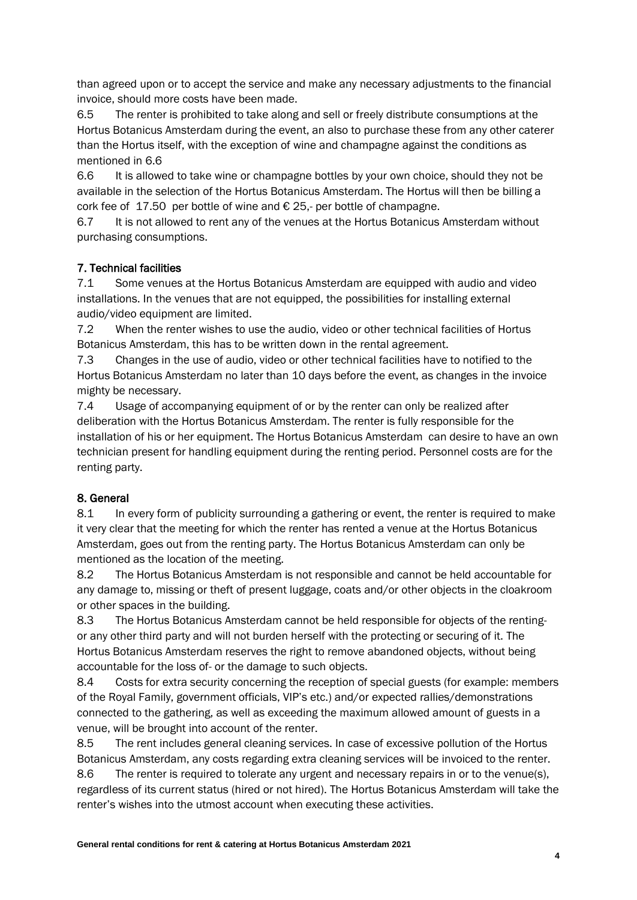than agreed upon or to accept the service and make any necessary adjustments to the financial invoice, should more costs have been made.

6.5 The renter is prohibited to take along and sell or freely distribute consumptions at the Hortus Botanicus Amsterdam during the event, an also to purchase these from any other caterer than the Hortus itself, with the exception of wine and champagne against the conditions as mentioned in 6.6

6.6 It is allowed to take wine or champagne bottles by your own choice, should they not be available in the selection of the Hortus Botanicus Amsterdam. The Hortus will then be billing a cork fee of 17.50 per bottle of wine and  $\epsilon$  25,- per bottle of champagne.

6.7 It is not allowed to rent any of the venues at the Hortus Botanicus Amsterdam without purchasing consumptions.

## 7. Technical facilities

7.1 Some venues at the Hortus Botanicus Amsterdam are equipped with audio and video installations. In the venues that are not equipped, the possibilities for installing external audio/video equipment are limited.

7.2 When the renter wishes to use the audio, video or other technical facilities of Hortus Botanicus Amsterdam, this has to be written down in the rental agreement.

7.3 Changes in the use of audio, video or other technical facilities have to notified to the Hortus Botanicus Amsterdam no later than 10 days before the event, as changes in the invoice mighty be necessary.

7.4 Usage of accompanying equipment of or by the renter can only be realized after deliberation with the Hortus Botanicus Amsterdam. The renter is fully responsible for the installation of his or her equipment. The Hortus Botanicus Amsterdam can desire to have an own technician present for handling equipment during the renting period. Personnel costs are for the renting party.

# 8. General

8.1 In every form of publicity surrounding a gathering or event, the renter is required to make it very clear that the meeting for which the renter has rented a venue at the Hortus Botanicus Amsterdam, goes out from the renting party. The Hortus Botanicus Amsterdam can only be mentioned as the location of the meeting.

8.2 The Hortus Botanicus Amsterdam is not responsible and cannot be held accountable for any damage to, missing or theft of present luggage, coats and/or other objects in the cloakroom or other spaces in the building.

8.3 The Hortus Botanicus Amsterdam cannot be held responsible for objects of the rentingor any other third party and will not burden herself with the protecting or securing of it. The Hortus Botanicus Amsterdam reserves the right to remove abandoned objects, without being accountable for the loss of- or the damage to such objects.

8.4 Costs for extra security concerning the reception of special guests (for example: members of the Royal Family, government officials, VIP's etc.) and/or expected rallies/demonstrations connected to the gathering, as well as exceeding the maximum allowed amount of guests in a venue, will be brought into account of the renter.

8.5 The rent includes general cleaning services. In case of excessive pollution of the Hortus Botanicus Amsterdam, any costs regarding extra cleaning services will be invoiced to the renter.

8.6 The renter is required to tolerate any urgent and necessary repairs in or to the venue(s), regardless of its current status (hired or not hired). The Hortus Botanicus Amsterdam will take the renter's wishes into the utmost account when executing these activities.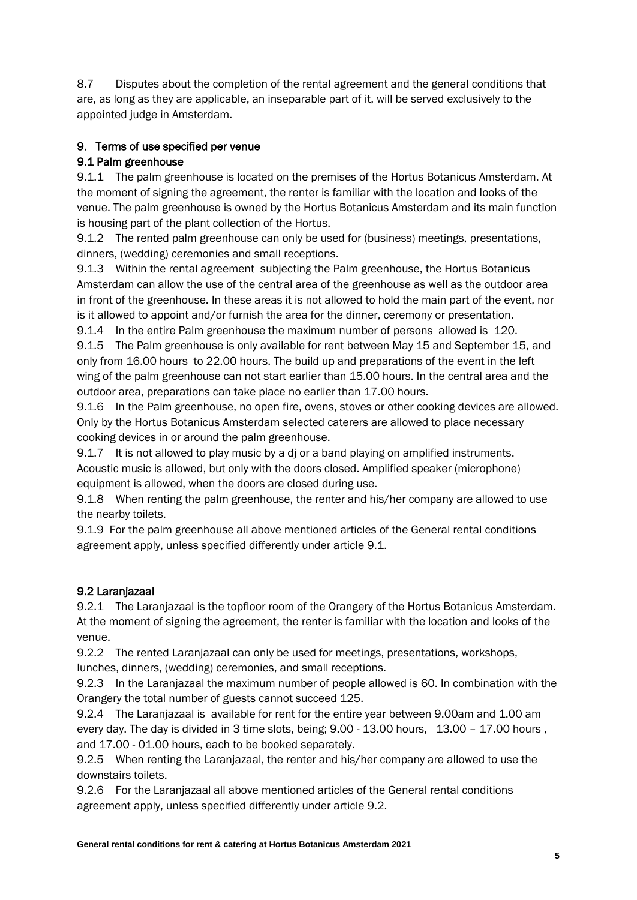8.7 Disputes about the completion of the rental agreement and the general conditions that are, as long as they are applicable, an inseparable part of it, will be served exclusively to the appointed judge in Amsterdam.

# 9. Terms of use specified per venue

# 9.1 Palm greenhouse

9.1.1 The palm greenhouse is located on the premises of the Hortus Botanicus Amsterdam. At the moment of signing the agreement, the renter is familiar with the location and looks of the venue. The palm greenhouse is owned by the Hortus Botanicus Amsterdam and its main function is housing part of the plant collection of the Hortus.

9.1.2 The rented palm greenhouse can only be used for (business) meetings, presentations, dinners, (wedding) ceremonies and small receptions.

9.1.3 Within the rental agreement subjecting the Palm greenhouse, the Hortus Botanicus Amsterdam can allow the use of the central area of the greenhouse as well as the outdoor area in front of the greenhouse. In these areas it is not allowed to hold the main part of the event, nor is it allowed to appoint and/or furnish the area for the dinner, ceremony or presentation.

9.1.4 In the entire Palm greenhouse the maximum number of persons allowed is 120.

9.1.5 The Palm greenhouse is only available for rent between May 15 and September 15, and only from 16.00 hours to 22.00 hours. The build up and preparations of the event in the left wing of the palm greenhouse can not start earlier than 15.00 hours. In the central area and the outdoor area, preparations can take place no earlier than 17.00 hours.

9.1.6 In the Palm greenhouse, no open fire, ovens, stoves or other cooking devices are allowed. Only by the Hortus Botanicus Amsterdam selected caterers are allowed to place necessary cooking devices in or around the palm greenhouse.

9.1.7 It is not allowed to play music by a dj or a band playing on amplified instruments. Acoustic music is allowed, but only with the doors closed. Amplified speaker (microphone) equipment is allowed, when the doors are closed during use.

9.1.8 When renting the palm greenhouse, the renter and his/her company are allowed to use the nearby toilets.

9.1.9 For the palm greenhouse all above mentioned articles of the General rental conditions agreement apply, unless specified differently under article 9.1.

# 9.2 Laranjazaal

9.2.1 The Laranjazaal is the topfloor room of the Orangery of the Hortus Botanicus Amsterdam. At the moment of signing the agreement, the renter is familiar with the location and looks of the venue.

9.2.2 The rented Laranjazaal can only be used for meetings, presentations, workshops, lunches, dinners, (wedding) ceremonies, and small receptions.

9.2.3 In the Laranjazaal the maximum number of people allowed is 60. In combination with the Orangery the total number of guests cannot succeed 125.

9.2.4 The Laranjazaal is available for rent for the entire year between 9.00am and 1.00 am every day. The day is divided in 3 time slots, being; 9.00 - 13.00 hours, 13.00 - 17.00 hours, and 17.00 - 01.00 hours, each to be booked separately.

9.2.5 When renting the Laranjazaal, the renter and his/her company are allowed to use the downstairs toilets.

9.2.6 For the Laranjazaal all above mentioned articles of the General rental conditions agreement apply, unless specified differently under article 9.2.